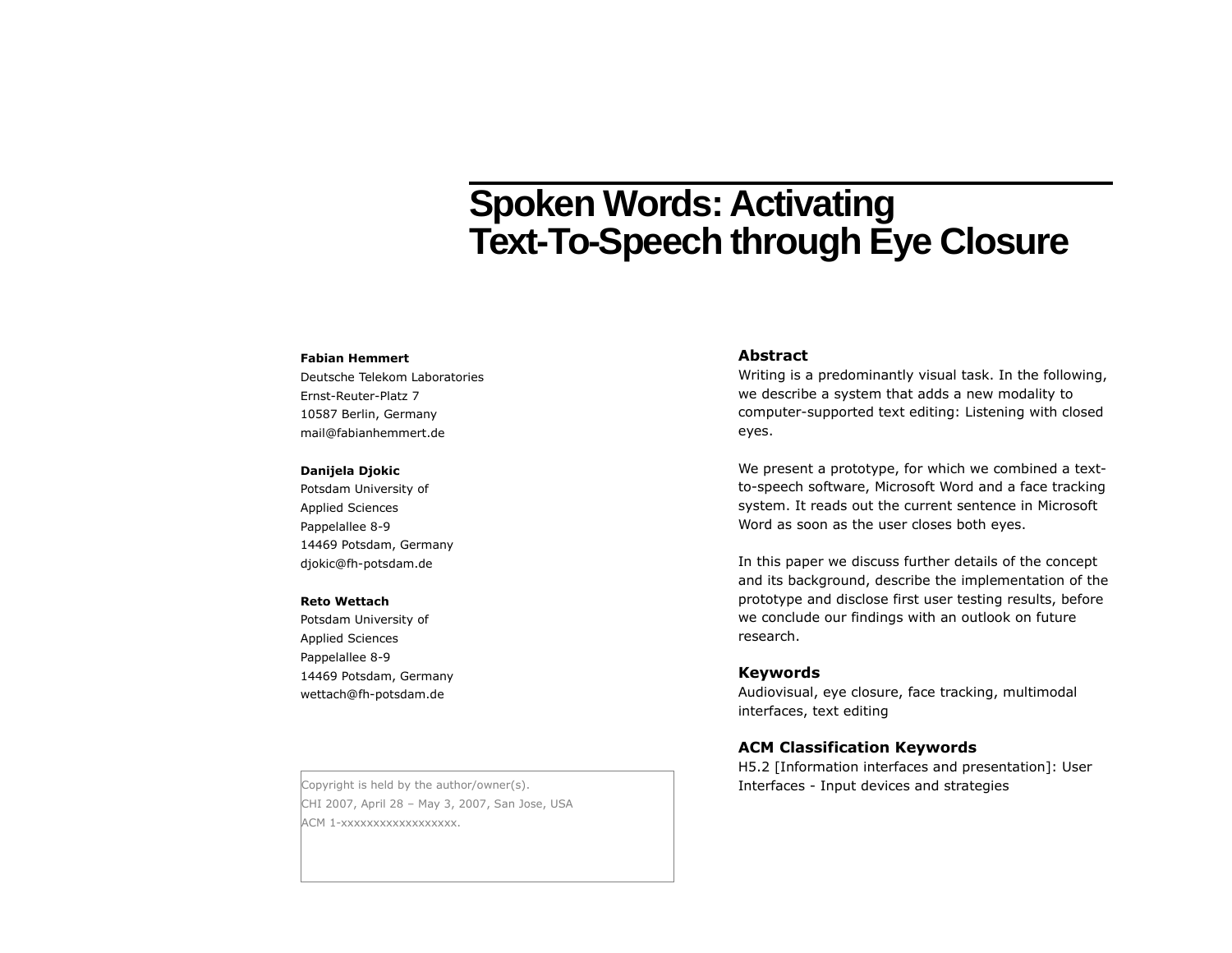# **Spoken Words: Activating Text-To-Speech through Eye Closure**

#### **Fabian Hemmert**

Deutsche Telekom Laboratories Ernst-Reuter-Platz 7 10587 Berlin, Germany mail@fabianhemmert.de

#### **Danijela Djokic**

Potsdam University of Applied Sciences Pappelallee 8-9 14469 Potsdam, Germany djokic@fh-potsdam.de

#### **Reto Wettach**

Potsdam University of Applied Sciences Pappelallee 8-9 14469 Potsdam, Germany wettach@fh-potsdam.de

CHI 2007, April 28 – May 3, 2007, San Jose, USA ACM 1-xxxxxxxxxxxxxxxxxx.

#### **Abstract**

Writing is a predominantly visual task. In the following, we describe a system that adds a new modality to computer-supported text editing: Listening with closed eyes.

We present a prototype, for which we combined a textto-speech software, Microsoft Word and a face tracking system. It reads out the current sentence in Microsoft Word as soon as the user closes both eyes.

In this paper we discuss further details of the concept and its background, describe the implementation of the prototype and disclose first user testing results, before we conclude our findings with an outlook on future research.

### **Keywords**

Audiovisual, eye closure, face tracking, multimodal interfaces, text editing

#### **ACM Classification Keywords**

H5.2 [Information interfaces and presentation]: User Copyright is held by the author/owner(s).  $\qquad \qquad$  Interfaces - Input devices and strategies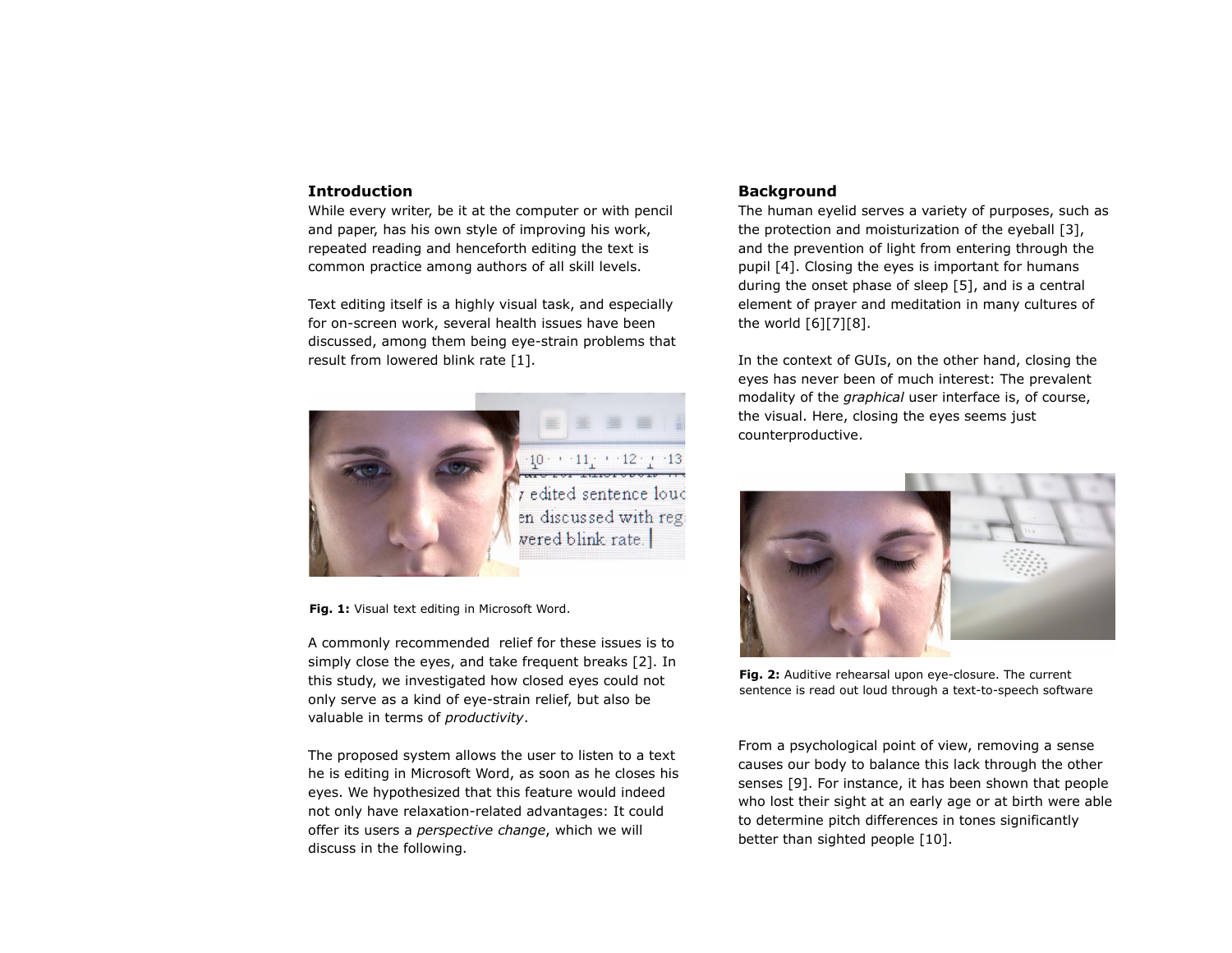#### **Introduction**

While every writer, be it at the computer or with pencil and paper, has his own style of improving his work, repeated reading and henceforth editing the text is common practice among authors of all skill levels.

Text editing itself is a highly visual task, and especially for on-screen work, several health issues have been discussed, among them being eye-strain problems that result from lowered blink rate [1].



**Fig. 1:** Visual text editing in Microsoft Word.

A commonly recommended relief for these issues is to simply close the eyes, and take frequent breaks [2]. In this study, we investigated how closed eyes could not only serve as a kind of eye-strain relief, but also be valuable in terms of *productivity*.

The proposed system allows the user to listen to a text he is editing in Microsoft Word, as soon as he closes his eyes. We hypothesized that this feature would indeed not only have relaxation-related advantages: It could offer its users a *perspective change*, which we will discuss in the following.

### **Background**

The human eyelid serves a variety of purposes, such as the protection and moisturization of the eyeball [3], and the prevention of light from entering through the pupil [4]. Closing the eyes is important for humans during the onset phase of sleep [5], and is a central element of prayer and meditation in many cultures of the world [6][7][8].

In the context of GUIs, on the other hand, closing the eyes has never been of much interest: The prevalent modality of the *graphical* user interface is, of course, the visual. Here, closing the eyes seems just counterproductive.



**Fig. 2:** Auditive rehearsal upon eye-closure. The current sentence is read out loud through a text-to-speech software

From a psychological point of view, removing a sense causes our body to balance this lack through the other senses [9]. For instance, it has been shown that people who lost their sight at an early age or at birth were able to determine pitch differences in tones significantly better than sighted people [10].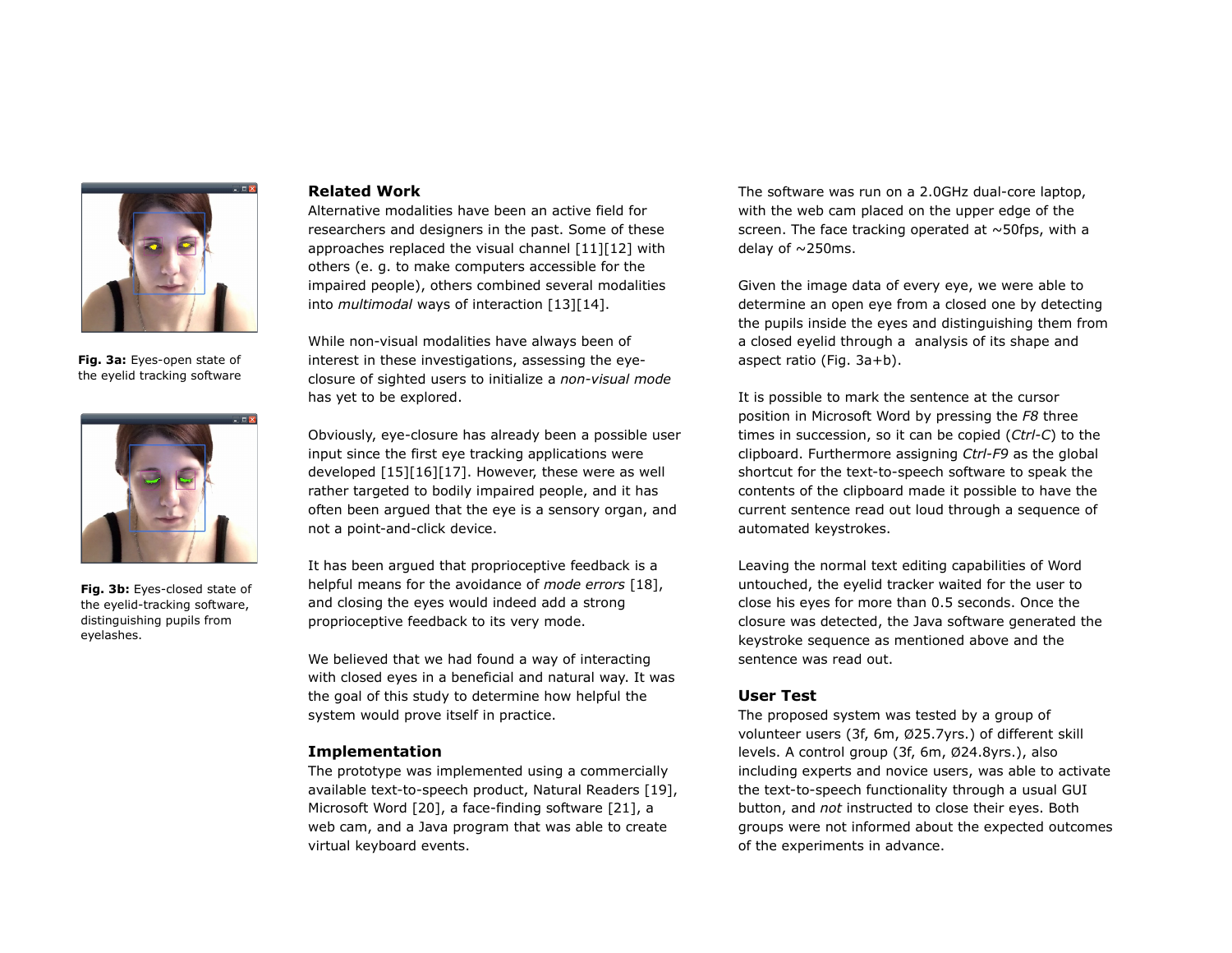

**Fig. 3a:** Eyes-open state of the eyelid tracking software



**Fig. 3b:** Eyes-closed state of the eyelid-tracking software, distinguishing pupils from eyelashes.

# **Related Work**

Alternative modalities have been an active field for researchers and designers in the past. Some of these approaches replaced the visual channel [11][12] with others (e. g. to make computers accessible for the impaired people), others combined several modalities into *multimodal* ways of interaction [13][14].

While non-visual modalities have always been of interest in these investigations, assessing the eyeclosure of sighted users to initialize a *non-visual mode* has yet to be explored.

Obviously, eye-closure has already been a possible user input since the first eye tracking applications were developed [15][16][17]. However, these were as well rather targeted to bodily impaired people, and it has often been argued that the eye is a sensory organ, and not a point-and-click device.

It has been argued that proprioceptive feedback is a helpful means for the avoidance of *mode errors* [18], and closing the eyes would indeed add a strong proprioceptive feedback to its very mode.

We believed that we had found a way of interacting with closed eyes in a beneficial and natural way. It was the goal of this study to determine how helpful the system would prove itself in practice.

## **Implementation**

The prototype was implemented using a commercially available text-to-speech product, Natural Readers [19], Microsoft Word [20], a face-finding software [21], a web cam, and a Java program that was able to create virtual keyboard events.

The software was run on a 2.0GHz dual-core laptop, with the web cam placed on the upper edge of the screen. The face tracking operated at  $\sim$  50fps, with a delay of  $\sim$  250ms.

Given the image data of every eye, we were able to determine an open eye from a closed one by detecting the pupils inside the eyes and distinguishing them from a closed eyelid through a analysis of its shape and aspect ratio (Fig. 3a+b).

It is possible to mark the sentence at the cursor position in Microsoft Word by pressing the *F8* three times in succession, so it can be copied (*Ctrl-C*) to the clipboard. Furthermore assigning *Ctrl-F9* as the global shortcut for the text-to-speech software to speak the contents of the clipboard made it possible to have the current sentence read out loud through a sequence of automated keystrokes.

Leaving the normal text editing capabilities of Word untouched, the eyelid tracker waited for the user to close his eyes for more than 0.5 seconds. Once the closure was detected, the Java software generated the keystroke sequence as mentioned above and the sentence was read out.

#### **User Test**

The proposed system was tested by a group of volunteer users (3f, 6m, Ø25.7yrs.) of different skill levels. A control group (3f, 6m, Ø24.8yrs.), also including experts and novice users, was able to activate the text-to-speech functionality through a usual GUI button, and *not* instructed to close their eyes. Both groups were not informed about the expected outcomes of the experiments in advance.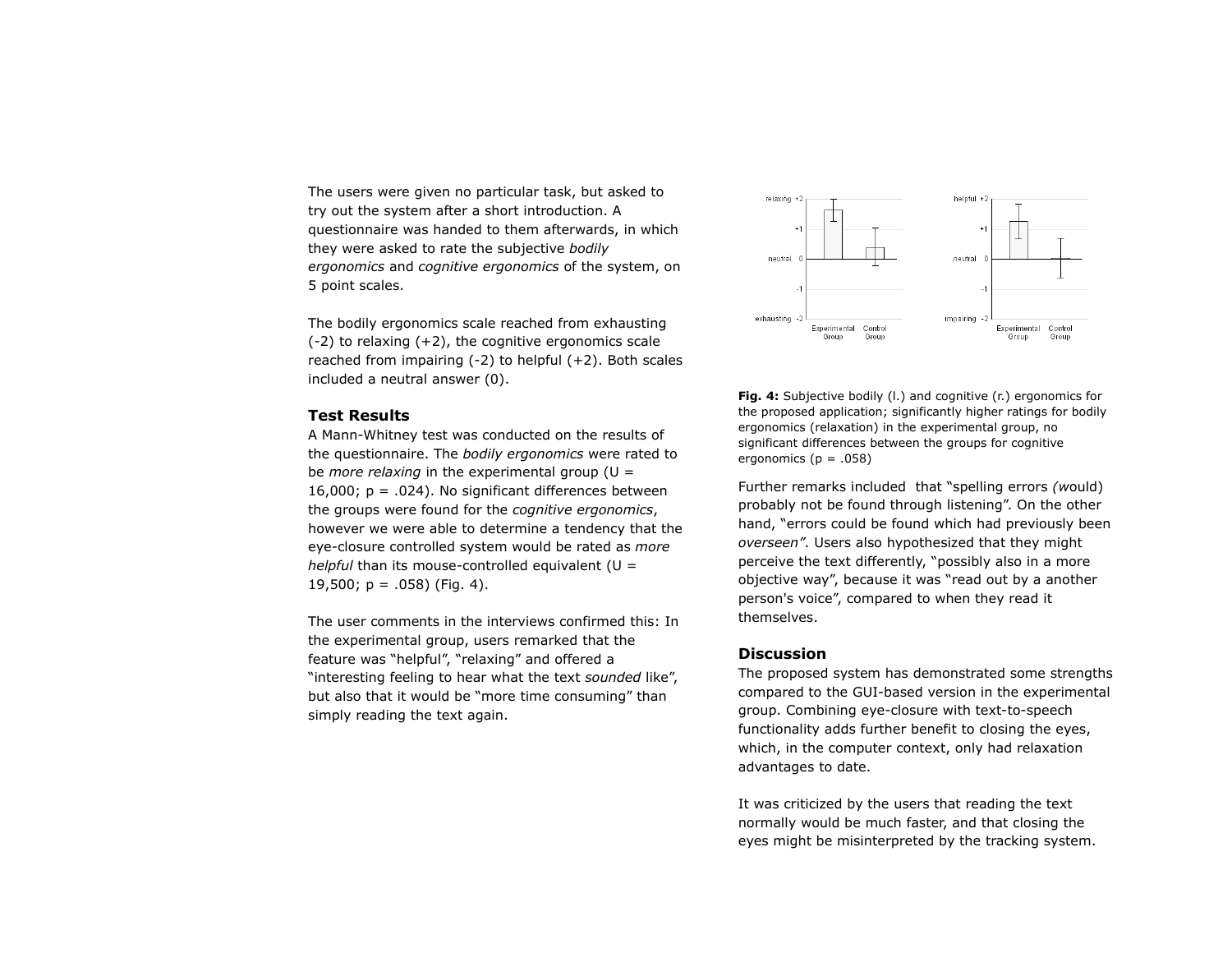The users were given no particular task, but asked to try out the system after a short introduction. A questionnaire was handed to them afterwards, in which they were asked to rate the subjective *bodily ergonomics* and *cognitive ergonomics* of the system, on 5 point scales.

The bodily ergonomics scale reached from exhausting  $(-2)$  to relaxing  $(+2)$ , the cognitive ergonomics scale reached from impairing  $(-2)$  to helpful  $(+2)$ . Both scales included a neutral answer (0).

# **Test Results**

A Mann-Whitney test was conducted on the results of the questionnaire. The *bodily ergonomics* were rated to be *more relaxing* in the experimental group ( $U =$ 16,000;  $p = .024$ ). No significant differences between the groups were found for the *cognitive ergonomics*, however we were able to determine a tendency that the eye-closure controlled system would be rated as *more helpful* than its mouse-controlled equivalent (U = 19,500;  $p = .058$ ) (Fig. 4).

The user comments in the interviews confirmed this: In the experimental group, users remarked that the feature was "helpful", "relaxing" and offered a "interesting feeling to hear what the text *sounded* like", but also that it would be "more time consuming" than simply reading the text again.



**Fig. 4:** Subjective bodily (I.) and cognitive (r.) ergonomics for the proposed application; significantly higher ratings for bodily ergonomics (relaxation) in the experimental group, no significant differences between the groups for cognitive ergonomics ( $p = .058$ )

Further remarks included that "spelling errors *(w*ould) probably not be found through listening". On the other hand, "errors could be found which had previously been *overseen"*. Users also hypothesized that they might perceive the text differently, "possibly also in a more objective way", because it was "read out by a another person's voice", compared to when they read it themselves.

# **Discussion**

The proposed system has demonstrated some strengths compared to the GUI-based version in the experimental group. Combining eye-closure with text-to-speech functionality adds further benefit to closing the eyes, which, in the computer context, only had relaxation advantages to date.

It was criticized by the users that reading the text normally would be much faster, and that closing the eyes might be misinterpreted by the tracking system.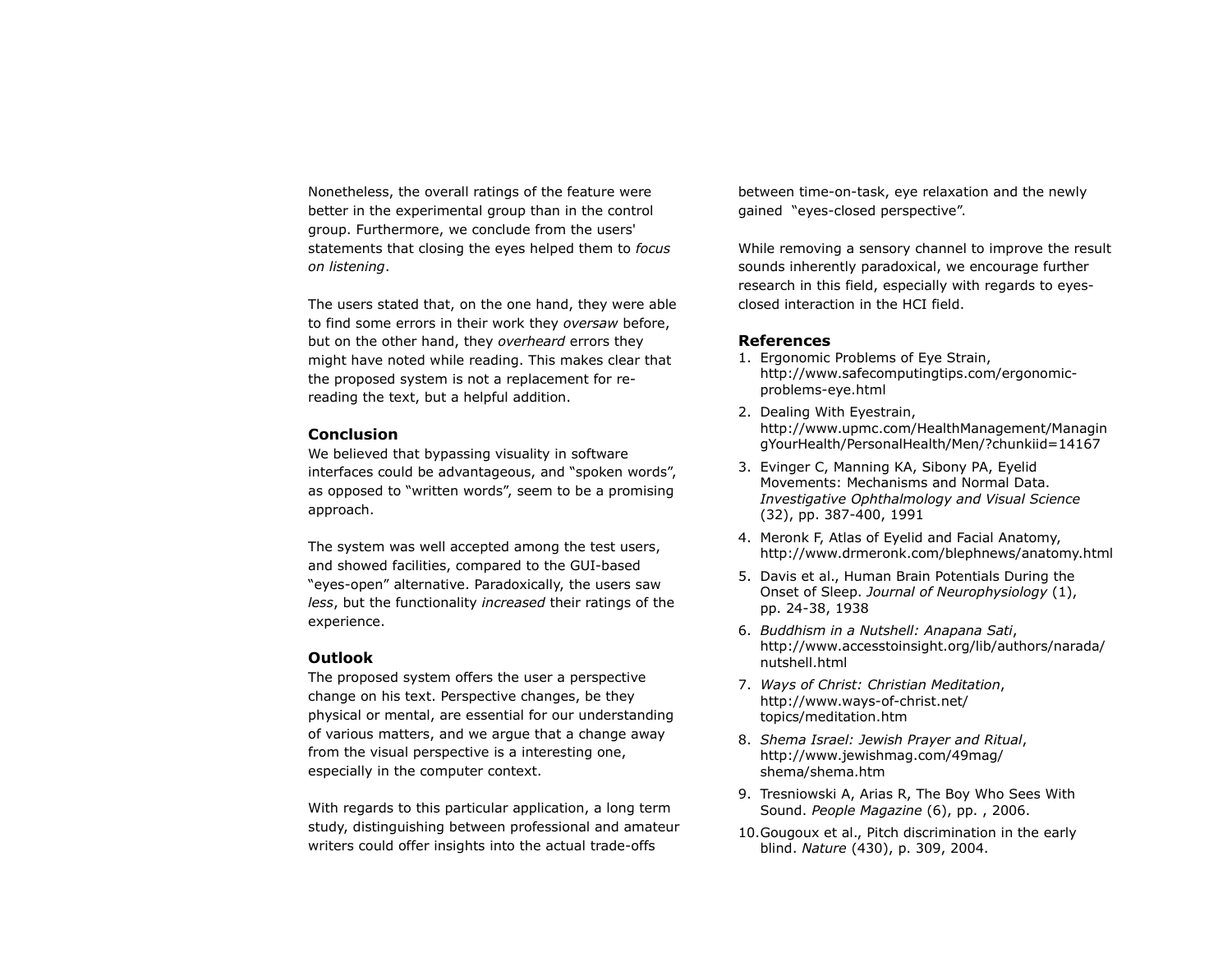Nonetheless, the overall ratings of the feature were better in the experimental group than in the control group. Furthermore, we conclude from the users' statements that closing the eyes helped them to *focus on listening*.

The users stated that, on the one hand, they were able to find some errors in their work they *oversaw* before, but on the other hand, they *overheard* errors they might have noted while reading. This makes clear that the proposed system is not a replacement for rereading the text, but a helpful addition.

#### **Conclusion**

We believed that bypassing visuality in software interfaces could be advantageous, and "spoken words", as opposed to "written words", seem to be a promising approach.

The system was well accepted among the test users, and showed facilities, compared to the GUI-based "eyes-open" alternative. Paradoxically, the users saw *less*, but the functionality *increased* their ratings of the experience.

#### **Outlook**

The proposed system offers the user a perspective change on his text. Perspective changes, be they physical or mental, are essential for our understanding of various matters, and we argue that a change away from the visual perspective is a interesting one, especially in the computer context.

With regards to this particular application, a long term study, distinguishing between professional and amateur writers could offer insights into the actual trade-offs

between time-on-task, eye relaxation and the newly gained "eyes-closed perspective".

While removing a sensory channel to improve the result sounds inherently paradoxical, we encourage further research in this field, especially with regards to eyesclosed interaction in the HCI field.

# **References**

- 1. Ergonomic Problems of Eye Strain, http://www.safecomputingtips.com/ergonomicproblems-eye.html
- 2. Dealing With Eyestrain, http://www.upmc.com/HealthManagement/Managin gYourHealth/PersonalHealth/Men/?chunkiid=14167
- 3. Evinger C, Manning KA, Sibony PA, Eyelid Movements: Mechanisms and Normal Data. *Investigative Ophthalmology and Visual Science* (32), pp. 387-400, 1991
- 4. Meronk F, Atlas of Eyelid and Facial Anatomy, http://www.drmeronk.com/blephnews/anatomy.html
- 5. Davis et al., Human Brain Potentials During the Onset of Sleep. *Journal of Neurophysiology* (1), pp. 24-38, 1938
- 6. *Buddhism in a Nutshell: Anapana Sati*, http://www.accesstoinsight.org/lib/authors/narada/ nutshell.html
- 7. *Ways of Christ: Christian Meditation*, http://www.ways-of-christ.net/ topics/meditation.htm
- 8. *Shema Israel: Jewish Prayer and Ritual*, http://www.jewishmag.com/49mag/ shema/shema.htm
- 9. Tresniowski A, Arias R, The Boy Who Sees With Sound. *People Magazine* (6), pp. , 2006.
- 10.Gougoux et al., Pitch discrimination in the early blind. *Nature* (430), p. 309, 2004.